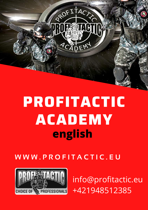

# **PROFITACTIC ACADEMY english**

**W W W . P R O F I T A C T I C . E U**



[info@profitactic.eu](mailto:info@profitactic.eu) [+421948512385](tel:+421948512385)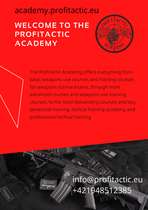**WELCOME TO THE PROFITACTIC ACADEMY** academy.profitactic.eu



The Profitactic Academy offers everything from basic weapons use courses and training courses for weapons license exams, through more advanced courses and weapons use training courses, to the most demanding courses and key personnel training, tactical training academy and professional tactical training.

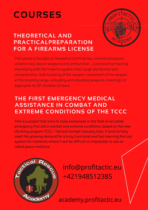# **COURSES**



### **THEORETICAL AND PRACTICALPREPARATION FOR A FIREARMS LICENSE**

The course is focused on theoretical (criminal law, criminal procedure, violation law, law on weapons and ammunition, ...) and practical training (Familiarity with the firearms system, their rough distribution and characteristics. Safe handling of the weapon, movement of the weapon at the shooting range, unloading and reloading weapons, cleaning).) of applicants for ZP. Duration 3 hours

#### **THE FIRST EMERGENCY MEDICAL [ASSISTANCE](https://academy.profitactic.eu/prva-neodkladna-zdravotna-pomoc-v-bojovych-a-extremnych-podmienkach-tccc/) IN COMBAT AND EXTREME CONDITIONS OF THE TCCC**

This is a project that aims to raise awareness in the field of so-called emergency first aid in combat and extreme conditions, based on the new US Army program TCCC - Tactical Combat Casualty Care. It aims to fully meet the growing demand for a truly functional and fast-learning first aid system for moments where it will be difficult or impossible to use socalled peace medicine.



[info@profitactic.eu](mailto:info@profitactic.eu) [+421948512385](tel:+421948512385)

academy.profitactic.eu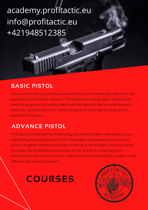# academy.profitactic.eu i[nfo@profitactic.eu](mailto:info@profitactic.eu) [+421948512385](tel:+421948512385)

#### **BASIC PISTOL**

This course is mainly used to acquire a basic muscle stereotype, habits for less experienced and novice shooters. This program is mainly about teaching the machine experience of safety habits and the basics of the so-called dynamic shooting - building blocks for further progress to more demanding tactical shooting techniques.

### **ADVANCE PISTOL**

This course is intended for moderately advanced shooters who already have sufficiently fixed safety habits with the weapon and already have primary skills in targeted shooting and basic handling of the weapon. It serves mainly to master the extended practical skills in the field of so-called dynamic shooting and the transition to the incorporation of tactical habits, usable in selfdefense and service situations.

### **COURSES**

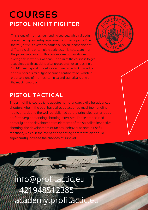### **PISTOL NIGHT FIGHTER COURSES**

This is one of the most demanding courses, which already places the highest entry requirements on participants. Due to the very difficult exercises, carried out even in conditions of difficult visibility or complete darkness, it is necessary that the person interested in this course already has aboveaverage skills with his weapon. The aim of the course is to get acquainted with special tactical procedures for conducting a "night" meeting and procedures acquired specific knowledge and skills for a similar type of armed confrontation, which in practice is one of the most complex and statistically one of the most numerous.



### **PISTOL TACTICAL**

The aim of this course is to acquire non-standard skills for advanced shooters who in the past have already acquired machine handling habits and, due to the well-established safety principles, can already perform very demanding shooting exercises. These are focused primarily on the development of elements of the so-called instinctive shooting, the development of tactical behavior to obtain useful reactions, which in the event of a shooting confrontation should significantly increase the chances of survival.

# academy.profitactic.eu i[nfo@profitactic.eu](mailto:info@profitactic.eu) [+421948512385](tel:+421948512385)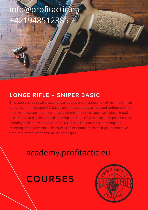# i[nfo@profitactic.eu](mailto:info@profitactic.eu) 1948512385

#### **LONGE RIFLE – SNIPER BASIC**

This course is technically used for basic setup and manipulation of the rifle with an optical sight (riflescope). It is based on professional assembly and configuration of the rifle, riflescope mounting kit, adjustment of the riflescope itself, bipod, tripod or use of the rear bag. In terms of shooting, the course focuses on basic positions and shooting at distances from 100m to 300m. The last part is the shooting and resetting of the riflescope. The course can be completed even if you do not have a firearms license. Weapons will be lent to you.

### academy.profitactic.eu

### **COURSES**